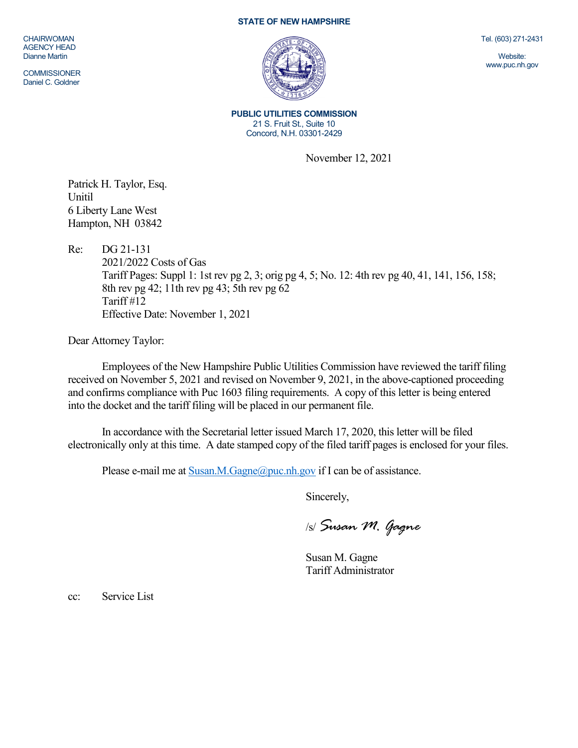## **STATE OF NEW HAMPSHIRE**

CHAIRWOMAN AGENCY HEAD Dianne Martin

COMMISSIONER Daniel C. Goldner



**PUBLIC UTILITIES COMMISSION** 21 S. Fruit St., Suite 10 Concord, N.H. 03301-2429

November 12, 2021

Patrick H. Taylor, Esq. Unitil 6 Liberty Lane West Hampton, NH 03842

Re: DG 21-131

2021/2022 Costs of Gas Tariff Pages: Suppl 1: 1st rev pg 2, 3; orig pg 4, 5; No. 12: 4th rev pg 40, 41, 141, 156, 158; 8th rev pg 42; 11th rev pg 43; 5th rev pg 62 Tariff #12 Effective Date: November 1, 2021

Dear Attorney Taylor:

Employees of the New Hampshire Public Utilities Commission have reviewed the tariff filing received on November 5, 2021 and revised on November 9, 2021, in the above-captioned proceeding and confirms compliance with Puc 1603 filing requirements. A copy of this letter is being entered into the docket and the tariff filing will be placed in our permanent file.

In accordance with the Secretarial letter issued March 17, 2020, this letter will be filed electronically only at this time. A date stamped copy of the filed tariff pages is enclosed for your files.

Please e-mail me a[t Susan.M.Gagne@puc.nh.gov](mailto:Susan.M.Gagne@puc.nh.gov) if I can be of assistance.

Sincerely,

/s/ *Susan M. Gagne*

Susan M. Gagne Tariff Administrator

cc: Service List

Tel. (603) 271-2431

Website: www.puc.nh.gov